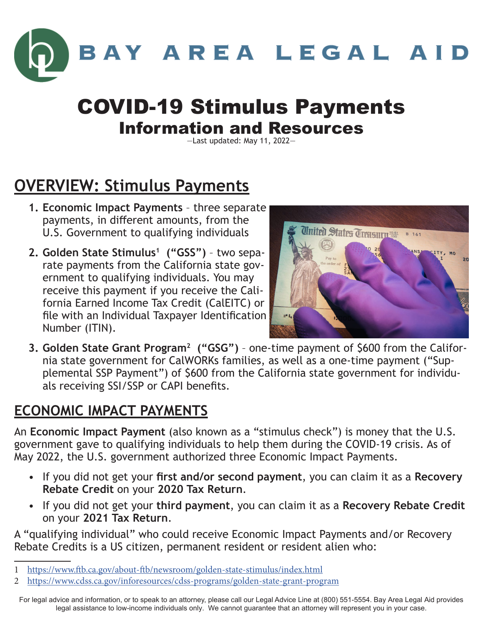

## COVID-19 Stimulus Payments Information and Resources

—Last updated: May 11, 2022—

## **OVERVIEW: Stimulus Payments**

- **1. Economic Impact Payments** three separate payments, in different amounts, from the U.S. Government to qualifying individuals
- **2. Golden State Stimulus1 ("GSS")** two separate payments from the California state government to qualifying individuals. You may receive this payment if you receive the California Earned Income Tax Credit (CalEITC) or file with an Individual Taxpayer Identification Number (ITIN).



**3. Golden State Grant Program2 ("GSG")** – one-time payment of \$600 from the California state government for CalWORKs families, as well as a one-time payment ("Supplemental SSP Payment") of \$600 from the California state government for individuals receiving SSI/SSP or CAPI benefits.

#### **ECONOMIC IMPACT PAYMENTS**

An **Economic Impact Payment** (also known as a "stimulus check") is money that the U.S. government gave to qualifying individuals to help them during the COVID-19 crisis. As of May 2022, the U.S. government authorized three Economic Impact Payments.

- If you did not get your **first and/or second payment**, you can claim it as a **Recovery Rebate Credit** on your **2020 Tax Return**.
- If you did not get your **third payment**, you can claim it as a **Recovery Rebate Credit** on your **2021 Tax Return**.

A "qualifying individual" who could receive Economic Impact Payments and/or Recovery Rebate Credits is a US citizen, permanent resident or resident alien who:

<sup>1</sup> <https://www.ftb.ca.gov/about-ftb/newsroom/golden-state-stimulus/index.html>

<sup>2</sup> <https://www.cdss.ca.gov/inforesources/cdss-programs/golden-state-grant-program>

For legal advice and information, or to speak to an attorney, please call our Legal Advice Line at (800) 551-5554. Bay Area Legal Aid provides legal assistance to low-income individuals only. We cannot guarantee that an attorney will represent you in your case.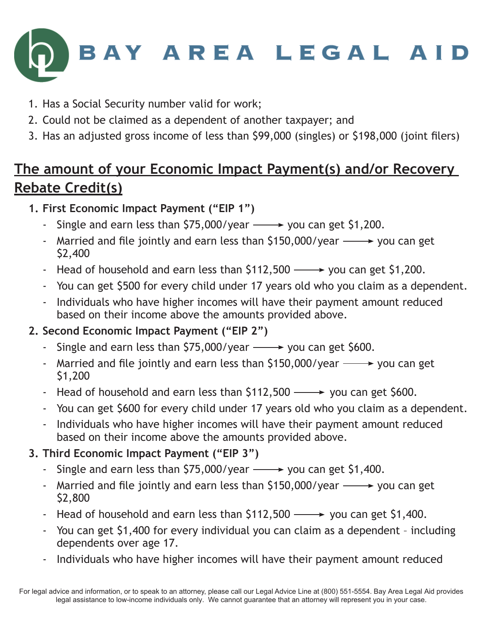

- 1. Has a Social Security number valid for work;
- 2. Could not be claimed as a dependent of another taxpayer; and
- 3. Has an adjusted gross income of less than \$99,000 (singles) or \$198,000 (joint filers)

## **The amount of your Economic Impact Payment(s) and/or Recovery Rebate Credit(s)**

**1. First Economic Impact Payment ("EIP 1")**

- Single and earn less than  $$75,000/year \longrightarrow$  you can get  $$1,200$ .
- Married and file jointly and earn less than  $$150,000/year \longrightarrow$  you can get \$2,400
- Head of household and earn less than  $$112,500 \longrightarrow$  you can get  $$1,200$ .
- You can get \$500 for every child under 17 years old who you claim as a dependent.
- Individuals who have higher incomes will have their payment amount reduced based on their income above the amounts provided above.

#### **2. Second Economic Impact Payment ("EIP 2")**

- Single and earn less than  $$75,000$ /year  $\longrightarrow$  you can get \$600.
- Married and file jointly and earn less than  $$150,000/year \longrightarrow$  you can get \$1,200
- Head of household and earn less than  $$112,500 \longrightarrow$  you can get  $$600$ .
- You can get \$600 for every child under 17 years old who you claim as a dependent.
- Individuals who have higher incomes will have their payment amount reduced based on their income above the amounts provided above.

#### **3. Third Economic Impact Payment ("EIP 3")**

- Single and earn less than  $$75,000/year \longrightarrow$  you can get  $$1,400$ .
- Married and file jointly and earn less than  $$150,000/year \longrightarrow$  you can get \$2,800
- Head of household and earn less than  $$112,500 \longrightarrow$  you can get  $$1,400$ .
- You can get \$1,400 for every individual you can claim as a dependent including dependents over age 17.
- Individuals who have higher incomes will have their payment amount reduced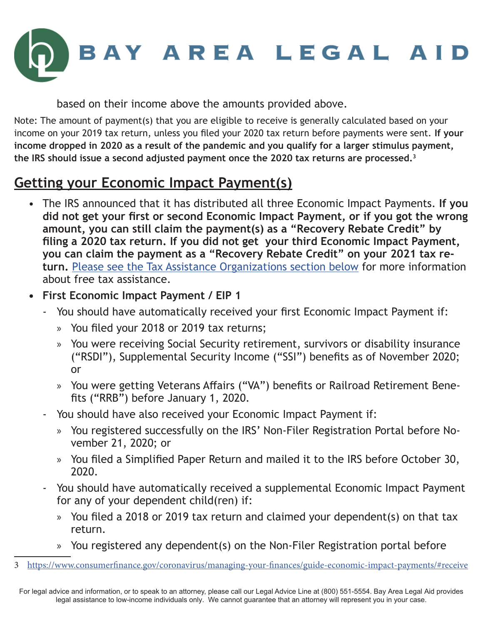

based on their income above the amounts provided above.

Note: The amount of payment(s) that you are eligible to receive is generally calculated based on your income on your 2019 tax return, unless you filed your 2020 tax return before payments were sent. **If your income dropped in 2020 as a result of the pandemic and you qualify for a larger stimulus payment, the IRS should issue a second adjusted payment once the 2020 tax returns are processed.3**

#### **Getting your Economic Impact Payment(s)**

- The IRS announced that it has distributed all three Economic Impact Payments. **If you did not get your first or second Economic Impact Payment, or if you got the wrong amount, you can still claim the payment(s) as a "Recovery Rebate Credit" by filing a 2020 tax return. If you did not get your third Economic Impact Payment, you can claim the payment as a "Recovery Rebate Credit" on your 2021 tax return.** [Please see the Tax Assistance Organizations section below](#page-6-0) for more information about free tax assistance.
- **• First Economic Impact Payment / EIP 1**
	- You should have automatically received your first Economic Impact Payment if:
		- » You filed your 2018 or 2019 tax returns;
		- » You were receiving Social Security retirement, survivors or disability insurance ("RSDI"), Supplemental Security Income ("SSI") benefits as of November 2020; or
		- » You were getting Veterans Affairs ("VA") benefits or Railroad Retirement Benefits ("RRB") before January 1, 2020.
	- You should have also received your Economic Impact Payment if:
		- » You registered successfully on the IRS' Non-Filer Registration Portal before November 21, 2020; or
		- » You filed a Simplified Paper Return and mailed it to the IRS before October 30, 2020.
	- You should have automatically received a supplemental Economic Impact Payment for any of your dependent child(ren) if:
		- » You filed a 2018 or 2019 tax return and claimed your dependent(s) on that tax return.
		- » You registered any dependent(s) on the Non-Filer Registration portal before

<sup>3</sup> <https://www.consumerfinance.gov/coronavirus/managing-your-finances/guide-economic-impact-payments/#receive>

For legal advice and information, or to speak to an attorney, please call our Legal Advice Line at (800) 551-5554. Bay Area Legal Aid provides legal assistance to low-income individuals only. We cannot guarantee that an attorney will represent you in your case.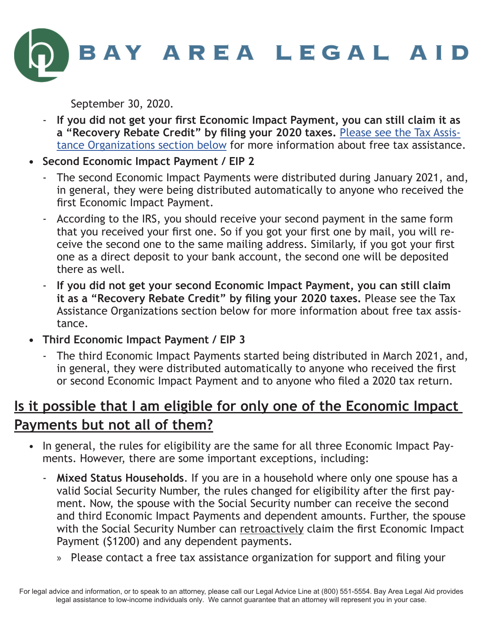

September 30, 2020.

- **If you did not get your first Economic Impact Payment, you can still claim it as a "Recovery Rebate Credit" by filing your 2020 taxes.** [Please see the Tax Assis](#page-6-0)[tance Organizations section below](#page-6-0) for more information about free tax assistance.
- **• Second Economic Impact Payment / EIP 2**
	- The second Economic Impact Payments were distributed during January 2021, and, in general, they were being distributed automatically to anyone who received the first Economic Impact Payment.
	- According to the IRS, you should receive your second payment in the same form that you received your first one. So if you got your first one by mail, you will receive the second one to the same mailing address. Similarly, if you got your first one as a direct deposit to your bank account, the second one will be deposited there as well.
	- **If you did not get your second Economic Impact Payment, you can still claim it as a "Recovery Rebate Credit" by filing your 2020 taxes.** Please see the Tax Assistance Organizations section below for more information about free tax assistance.
- **• Third Economic Impact Payment / EIP 3**
	- The third Economic Impact Payments started being distributed in March 2021, and, in general, they were distributed automatically to anyone who received the first or second Economic Impact Payment and to anyone who filed a 2020 tax return.

#### **Is it possible that I am eligible for only one of the Economic Impact Payments but not all of them?**

- In general, the rules for eligibility are the same for all three Economic Impact Payments. However, there are some important exceptions, including:
	- **Mixed Status Households**. If you are in a household where only one spouse has a valid Social Security Number, the rules changed for eligibility after the first payment. Now, the spouse with the Social Security number can receive the second and third Economic Impact Payments and dependent amounts. Further, the spouse with the Social Security Number can retroactively claim the first Economic Impact Payment (\$1200) and any dependent payments.
		- » Please contact a free tax assistance organization for support and filing your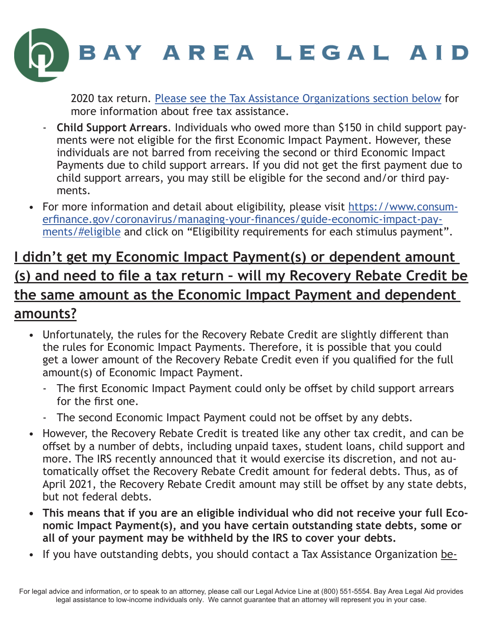

2020 tax return. [Please see the Tax Assistance Organizations section below](#page-6-0) for more information about free tax assistance.

- **Child Support Arrears**. Individuals who owed more than \$150 in child support payments were not eligible for the first Economic Impact Payment. However, these individuals are not barred from receiving the second or third Economic Impact Payments due to child support arrears. If you did not get the first payment due to child support arrears, you may still be eligible for the second and/or third payments.
- For more information and detail about eligibility, please visit [https://www.consum](https://www.consumerfinance.gov/coronavirus/managing-your-finances/guide-economic-impact-payments/#eligible)[erfinance.gov/coronavirus/managing-your-finances/guide-economic-impact-pay](https://www.consumerfinance.gov/coronavirus/managing-your-finances/guide-economic-impact-payments/#eligible)[ments/#eligible](https://www.consumerfinance.gov/coronavirus/managing-your-finances/guide-economic-impact-payments/#eligible) and click on "Eligibility requirements for each stimulus payment".

#### <span id="page-4-0"></span>**I didn't get my Economic Impact Payment(s) or dependent amount (s) and need to file a tax return – will my Recovery Rebate Credit be the same amount as the Economic Impact Payment and dependent amounts?**

- Unfortunately, the rules for the Recovery Rebate Credit are slightly different than the rules for Economic Impact Payments. Therefore, it is possible that you could get a lower amount of the Recovery Rebate Credit even if you qualified for the full amount(s) of Economic Impact Payment.
	- The first Economic Impact Payment could only be offset by child support arrears for the first one.
	- The second Economic Impact Payment could not be offset by any debts.
- However, the Recovery Rebate Credit is treated like any other tax credit, and can be offset by a number of debts, including unpaid taxes, student loans, child support and more. The IRS recently announced that it would exercise its discretion, and not automatically offset the Recovery Rebate Credit amount for federal debts. Thus, as of April 2021, the Recovery Rebate Credit amount may still be offset by any state debts, but not federal debts.
- **• This means that if you are an eligible individual who did not receive your full Economic Impact Payment(s), and you have certain outstanding state debts, some or all of your payment may be withheld by the IRS to cover your debts.**
- If you have outstanding debts, you should contact a Tax Assistance Organization be-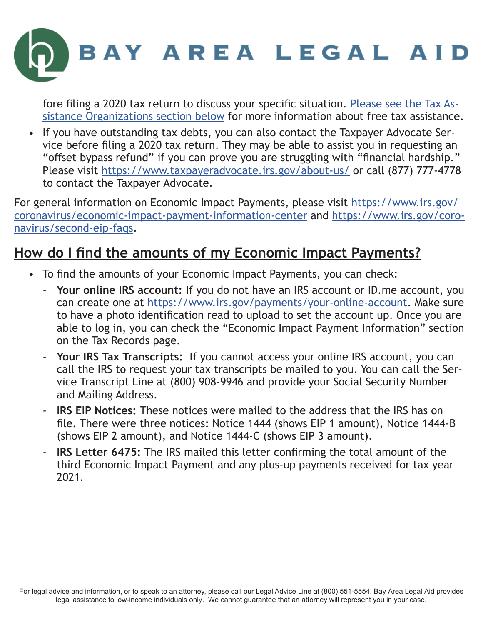

fore filing a 2020 tax return to discuss your specific situation. [Please see the Tax As](#page-6-0)[sistance Organizations section below](#page-6-0) for more information about free tax assistance.

• If you have outstanding tax debts, you can also contact the Taxpayer Advocate Service before filing a 2020 tax return. They may be able to assist you in requesting an "offset bypass refund" if you can prove you are struggling with "financial hardship." Please visit <https://www.taxpayeradvocate.irs.gov/about-us/>or call (877) 777-4778 to contact the Taxpayer Advocate.

For general information on Economic Impact Payments, please visit https://www.irs.gov/ [coronavirus/economic-impact-payment-information-center](https://www.irs.gov/ coronavirus/economic-impact-payment-information-center) and [https://www.irs.gov/coro](https://www.irs.gov/coronavirus/second-eip-faqs)[navirus/second-eip-faqs](https://www.irs.gov/coronavirus/second-eip-faqs).

#### **How do I find the amounts of my Economic Impact Payments?**

- To find the amounts of your Economic Impact Payments, you can check:
	- **Your online IRS account:** If you do not have an IRS account or ID.me account, you can create one at <https://www.irs.gov/payments/your-online-account>. Make sure to have a photo identification read to upload to set the account up. Once you are able to log in, you can check the "Economic Impact Payment Information" section on the Tax Records page.
	- **Your IRS Tax Transcripts:** If you cannot access your online IRS account, you can call the IRS to request your tax transcripts be mailed to you. You can call the Service Transcript Line at (800) 908-9946 and provide your Social Security Number and Mailing Address.
	- **IRS EIP Notices:** These notices were mailed to the address that the IRS has on file. There were three notices: Notice 1444 (shows EIP 1 amount), Notice 1444-B (shows EIP 2 amount), and Notice 1444-C (shows EIP 3 amount).
	- **IRS Letter 6475:** The IRS mailed this letter confirming the total amount of the third Economic Impact Payment and any plus-up payments received for tax year 2021.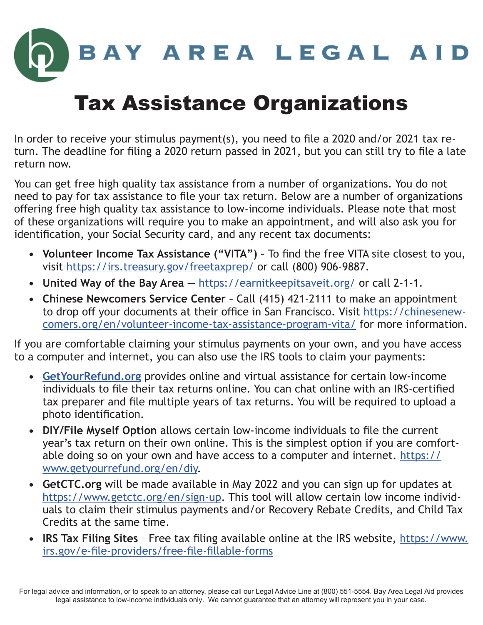

# <span id="page-6-0"></span>Tax Assistance Organizations

In order to receive your stimulus payment(s), you need to file a 2020 and/or 2021 tax return. The deadline for filing a 2020 return passed in 2021, but you can still try to file a late return now.

You can get free high quality tax assistance from a number of organizations. You do not need to pay for tax assistance to file your tax return. Below are a number of organizations offering free high quality tax assistance to low-income individuals. Please note that most of these organizations will require you to make an appointment, and will also ask you for identification, your Social Security card, and any recent tax documents:

- **• Volunteer Income Tax Assistance ("VITA")** To find the free VITA site closest to you, visit<https://irs.treasury.gov/freetaxprep/> or call (800) 906-9887.
- **• United Way of the Bay Area —** <https://earnitkeepitsaveit.org/>or call 2-1-1.
- **• Chinese Newcomers Service Center** Call (415) 421-2111 to make an appointment to drop off your documents at their office in San Francisco. Visit [https://chinesenew](https://chinesenewcomers.org/en/volunteer-income-tax-assistance-program-vita/)[comers.org/en/volunteer-income-tax-assistance-program-vita/](https://chinesenewcomers.org/en/volunteer-income-tax-assistance-program-vita/) for more information.

If you are comfortable claiming your stimulus payments on your own, and you have access to a computer and internet, you can also use the IRS tools to claim your payments:

- **• [GetYourRefund.org](http://GetYourRefund.org)** provides online and virtual assistance for certain low-income individuals to file their tax returns online. You can chat online with an IRS-certified tax preparer and file multiple years of tax returns. You will be required to upload a photo identification.
- **• DIY/File Myself Option** allows certain low-income individuals to file the current year's tax return on their own online. This is the simplest option if you are comfortable doing so on your own and have access to a computer and internet. [https://](https://www.getyourrefund.org/en/diy) [www.getyourrefund.org/en/diy](https://www.getyourrefund.org/en/diy).
- **• GetCTC.org** will be made available in May 2022 and you can sign up for updates at [https://www.getctc.org/en/sign-up.](https://www.getctc.org/en/sign-up) This tool will allow certain low income individuals to claim their stimulus payments and/or Recovery Rebate Credits, and Child Tax Credits at the same time.
- **• IRS Tax Filing Sites** Free tax filing available online at the IRS website, [https://www.](https://www.irs.gov/e-file-providers/free-file-fillable-forms) [irs.gov/e-file-providers/free-file-fillable-forms](https://www.irs.gov/e-file-providers/free-file-fillable-forms)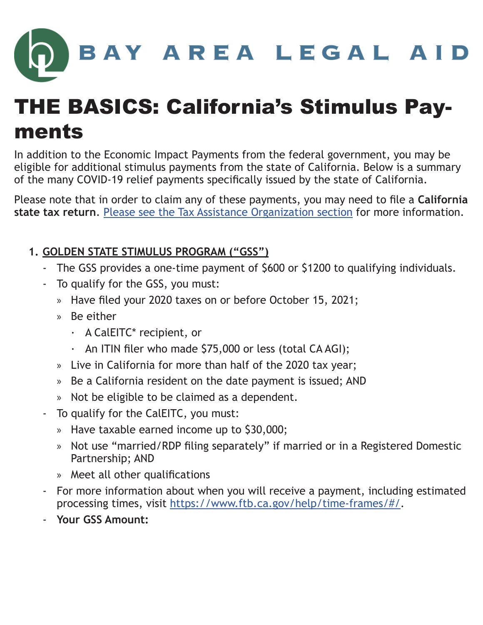# BAY AREA LEGAL AID

# THE BASICS: California's Stimulus Payments

In addition to the Economic Impact Payments from the federal government, you may be eligible for additional stimulus payments from the state of California. Below is a summary of the many COVID-19 relief payments specifically issued by the state of California.

Please note that in order to claim any of these payments, you may need to file a **California state tax return**. [Please see the Tax Assistance Organization section](#page-6-0) for more information.

#### **1. GOLDEN STATE STIMULUS PROGRAM ("GSS")**

- The GSS provides a one-time payment of \$600 or \$1200 to qualifying individuals.
- To qualify for the GSS, you must:
	- » Have filed your 2020 taxes on or before October 15, 2021;
	- » Be either
		- · A CalEITC\* recipient, or
		- · An ITIN filer who made \$75,000 or less (total CA AGI);
	- » Live in California for more than half of the 2020 tax year;
	- » Be a California resident on the date payment is issued; AND
	- » Not be eligible to be claimed as a dependent.
- To qualify for the CalEITC, you must:
	- » Have taxable earned income up to \$30,000;
	- » Not use "married/RDP filing separately" if married or in a Registered Domestic Partnership; AND
	- » Meet all other qualifications
- For more information about when you will receive a payment, including estimated processing times, visit <https://www.ftb.ca.gov/help/time-frames/#/>.
- **Your GSS Amount:**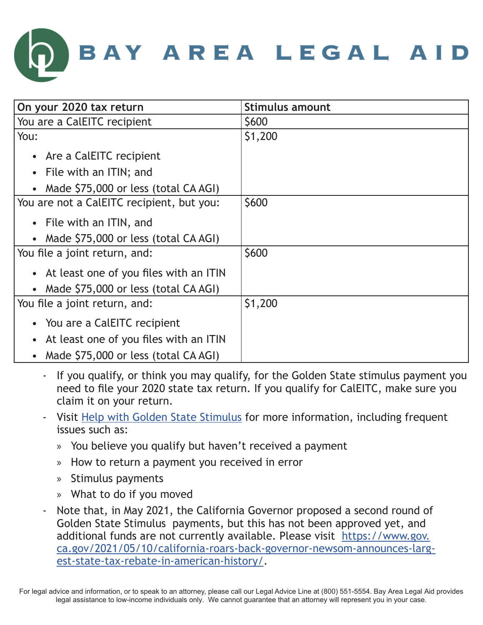

| On your 2020 tax return                             | <b>Stimulus amount</b> |
|-----------------------------------------------------|------------------------|
| You are a CalEITC recipient                         | <b>S600</b>            |
| You:                                                | \$1,200                |
| • Are a CalEITC recipient                           |                        |
| • File with an ITIN; and                            |                        |
| • Made \$75,000 or less (total CA AGI)              |                        |
| You are not a CalEITC recipient, but you:           | \$600                  |
| • File with an ITIN, and                            |                        |
| • Made \$75,000 or less (total CA AGI)              |                        |
| You file a joint return, and:                       | \$600                  |
| • At least one of you files with an ITIN            |                        |
| • Made \$75,000 or less (total CA AGI)              |                        |
| You file a joint return, and:                       | \$1,200                |
| • You are a CalEITC recipient                       |                        |
| At least one of you files with an ITIN<br>$\bullet$ |                        |
| • Made \$75,000 or less (total CA AGI)              |                        |

- If you qualify, or think you may qualify, for the Golden State stimulus payment you need to file your 2020 state tax return. If you qualify for CalEITC, make sure you claim it on your return.
- Visit [Help with Golden State Stimulus](https://www.ftb.ca.gov/about-ftb/newsroom/golden-state-stimulus/help.html) for more information, including frequent issues such as:
	- » You believe you qualify but haven't received a payment
	- » How to return a payment you received in error
	- » Stimulus payments
	- » What to do if you moved
- Note that, in May 2021, the California Governor proposed a second round of Golden State Stimulus payments, but this has not been approved yet, and additional funds are not currently available. Please visit [https://www.gov.](https://www.gov.ca.gov/2021/05/10/california-roars-back-governor-newsom-announces-largest-state-tax-rebate-in-american-history/) [ca.gov/2021/05/10/california-roars-back-governor-newsom-announces-larg](https://www.gov.ca.gov/2021/05/10/california-roars-back-governor-newsom-announces-largest-state-tax-rebate-in-american-history/)[est-state-tax-rebate-in-american-history/](https://www.gov.ca.gov/2021/05/10/california-roars-back-governor-newsom-announces-largest-state-tax-rebate-in-american-history/).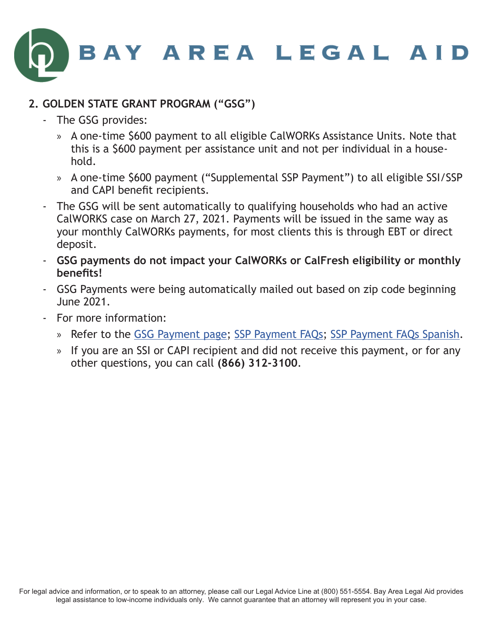

#### **2. GOLDEN STATE GRANT PROGRAM ("GSG")**

- The GSG provides:
	- » A one-time \$600 payment to all eligible CalWORKs Assistance Units. Note that this is a \$600 payment per assistance unit and not per individual in a household.
	- » A one-time \$600 payment ("Supplemental SSP Payment") to all eligible SSI/SSP and CAPI benefit recipients.
- The GSG will be sent automatically to qualifying households who had an active CalWORKS case on March 27, 2021. Payments will be issued in the same way as your monthly CalWORKs payments, for most clients this is through EBT or direct deposit.
- **GSG payments do not impact your CalWORKs or CalFresh eligibility or monthly benefits!**
- GSG Payments were being automatically mailed out based on zip code beginning June 2021.
- For more information:
	- » Refer to the [GSG Payment page;](https://www.cdss.ca.gov/inforesources/cdss-programs/golden-state-grant-program) [SSP Payment FAQs;](https://www.cdss.ca.gov/Portals/9/SSISSP/SSP-Payment-FAQs.pdf) [SSP Payment FAQs Spanish](https://www.cdss.ca.gov/Portals/9/SSISSP/SSP-Payment-FAQs-SP.pdf).
	- » If you are an SSI or CAPI recipient and did not receive this payment, or for any other questions, you can call **(866) 312-3100**.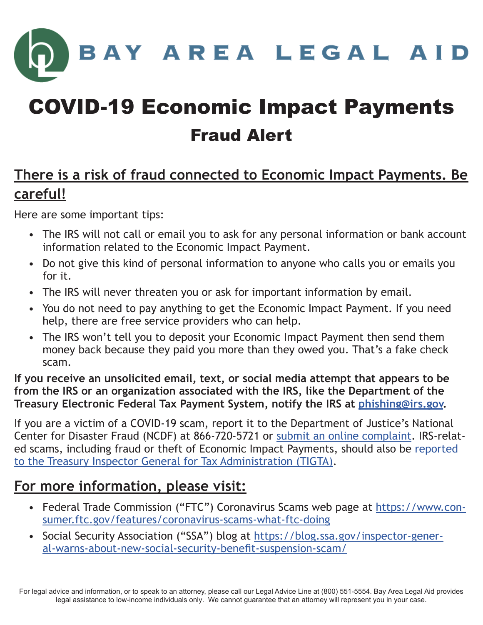BAY AREA LEGAL AID

# COVID-19 Economic Impact Payments Fraud Alert

#### **There is a risk of fraud connected to Economic Impact Payments. Be careful!**

Here are some important tips:

- The IRS will not call or email you to ask for any personal information or bank account information related to the Economic Impact Payment.
- Do not give this kind of personal information to anyone who calls you or emails you for it.
- The IRS will never threaten you or ask for important information by email.
- You do not need to pay anything to get the Economic Impact Payment. If you need help, there are free service providers who can help.
- The IRS won't tell you to deposit your Economic Impact Payment then send them money back because they paid you more than they owed you. That's a fake check scam.

**If you receive an unsolicited email, text, or social media attempt that appears to be from the IRS or an organization associated with the IRS, like the Department of the Treasury Electronic Federal Tax Payment System, notify the IRS at [phishing@irs.gov.](mailto:phishing%40irs.gov?subject=)**

If you are a victim of a COVID-19 scam, report it to the Department of Justice's National Center for Disaster Fraud (NCDF) at 866-720-5721 or [submit an online complaint.](https://www.justice.gov/disaster-fraud/ncdf-disaster-complaint-form) IRS-related scams, including fraud or theft of Economic Impact Payments, should also be [reported](https://www.treasury.gov/tigta/contact_report_covid_complaint.shtml)  [to the Treasury Inspector General for Tax Administration \(TIGTA\)](https://www.treasury.gov/tigta/contact_report_covid_complaint.shtml).

#### **For more information, please visit:**

- Federal Trade Commission ("FTC") Coronavirus Scams web page at [https://www.con](https://www.consumer.ftc.gov/features/coronavirus-scams-what-ftc-doing )[sumer.ftc.gov/features/coronavirus-scams-what-ftc-doing](https://www.consumer.ftc.gov/features/coronavirus-scams-what-ftc-doing )
- Social Security Association ("SSA") blog at [https://blog.ssa.gov/inspector-gener](https://blog.ssa.gov/inspector-general-warns-about-new-social-security-benefit-suspension-scam/)[al-warns-about-new-social-security-benefit-suspension-scam/](https://blog.ssa.gov/inspector-general-warns-about-new-social-security-benefit-suspension-scam/)

For legal advice and information, or to speak to an attorney, please call our Legal Advice Line at (800) 551-5554. Bay Area Legal Aid provides legal assistance to low-income individuals only. We cannot guarantee that an attorney will represent you in your case.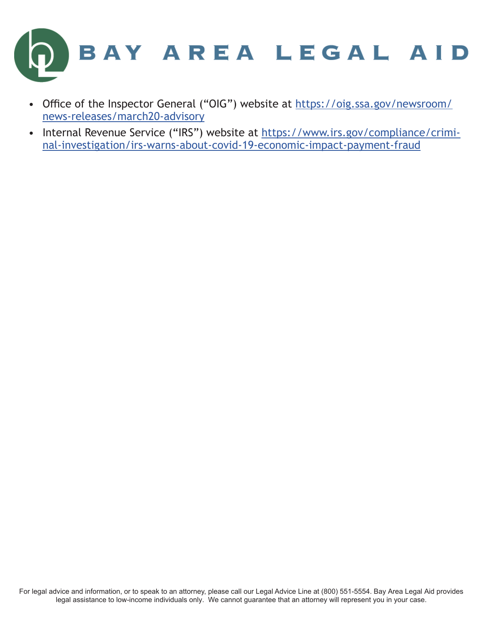

- Office of the Inspector General ("OIG") website at [https://oig.ssa.gov/newsroom/](https://oig.ssa.gov/newsroom/news-releases/march20-advisory ) [news-releases/march20-advisory](https://oig.ssa.gov/newsroom/news-releases/march20-advisory )
- [Internal Revenue Service \("IRS"\) website at https://www.irs.gov/compliance/crimi](https://www.irs.gov/compliance/criminal-investigation/irs-warns-about-covid-19-economic-impact-payment-fraud )nal-investigation/irs-warns-about-covid-19-economic-impact-payment-fraud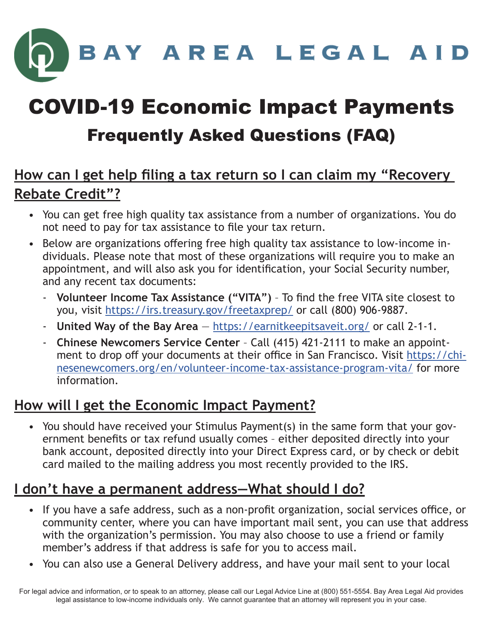BAY AREA LEGAL AID

# COVID-19 Economic Impact Payments Frequently Asked Questions (FAQ)

#### **How can I get help filing a tax return so I can claim my "Recovery Rebate Credit"?**

- You can get free high quality tax assistance from a number of organizations. You do not need to pay for tax assistance to file your tax return.
- Below are organizations offering free high quality tax assistance to low-income individuals. Please note that most of these organizations will require you to make an appointment, and will also ask you for identification, your Social Security number, and any recent tax documents:
	- **Volunteer Income Tax Assistance ("VITA")** To find the free VITA site closest to you, visit <https://irs.treasury.gov/freetaxprep/>or call (800) 906-9887.
	- **United Way of the Bay Area** <https://earnitkeepitsaveit.org/>or call 2-1-1.
	- **Chinese Newcomers Service Center** Call (415) 421-2111 to make an appointment to drop off your documents at their office in San Francisco. Visit [https://chi](https://chinesenewcomers.org/en/volunteer-income-tax-assistance-program-vita/)[nesenewcomers.org/en/volunteer-income-tax-assistance-program-vita/](https://chinesenewcomers.org/en/volunteer-income-tax-assistance-program-vita/) for more information.

#### **How will I get the Economic Impact Payment?**

• You should have received your Stimulus Payment(s) in the same form that your government benefits or tax refund usually comes – either deposited directly into your bank account, deposited directly into your Direct Express card, or by check or debit card mailed to the mailing address you most recently provided to the IRS.

#### **I don't have a permanent address—What should I do?**

- If you have a safe address, such as a non-profit organization, social services office, or community center, where you can have important mail sent, you can use that address with the organization's permission. You may also choose to use a friend or family member's address if that address is safe for you to access mail.
- You can also use a General Delivery address, and have your mail sent to your local

For legal advice and information, or to speak to an attorney, please call our Legal Advice Line at (800) 551-5554. Bay Area Legal Aid provides legal assistance to low-income individuals only. We cannot guarantee that an attorney will represent you in your case.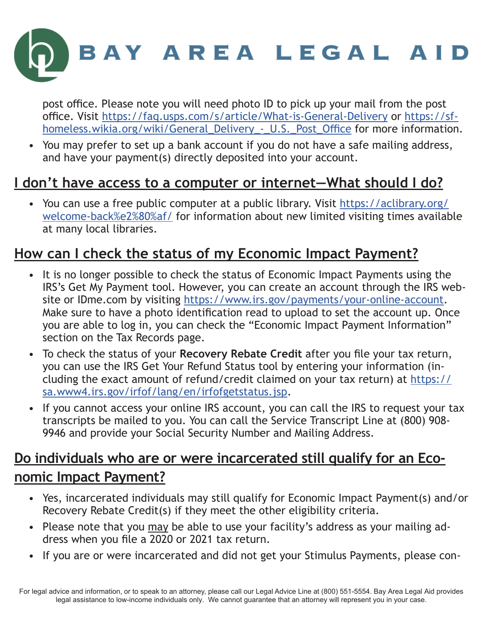

post office. Please note you will need photo ID to pick up your mail from the post office. Visit<https://faq.usps.com/s/article/What-is-General-Delivery>or [https://sf](https://sfhomeless.wikia.org/wiki/General_Delivery_-_U.S._Post_Office)[homeless.wikia.org/wiki/General\\_Delivery\\_-\\_U.S.\\_Post\\_Office](https://sfhomeless.wikia.org/wiki/General_Delivery_-_U.S._Post_Office) for more information.

• You may prefer to set up a bank account if you do not have a safe mailing address, and have your payment(s) directly deposited into your account.

#### **I don't have access to a computer or internet—What should I do?**

• You can use a free public computer at a public library. Visit [https://aclibrary.org/](https://aclibrary.org/welcome-back%e2%80%af/) [welcome-back%e2%80%af/](https://aclibrary.org/welcome-back%e2%80%af/) for information about new limited visiting times available at many local libraries.

#### **How can I check the status of my Economic Impact Payment?**

- It is no longer possible to check the status of Economic Impact Payments using the IRS's Get My Payment tool. However, you can create an account through the IRS website or IDme.com by visiting<https://www.irs.gov/payments/your-online-account>. Make sure to have a photo identification read to upload to set the account up. Once you are able to log in, you can check the "Economic Impact Payment Information" section on the Tax Records page.
- To check the status of your **Recovery Rebate Credit** after you file your tax return, you can use the IRS Get Your Refund Status tool by entering your information (including the exact amount of refund/credit claimed on your tax return) at [https://](https://sa.www4.irs.gov/irfof/lang/en/irfofgetstatus.jsp) [sa.www4.irs.gov/irfof/lang/en/irfofgetstatus.jsp](https://sa.www4.irs.gov/irfof/lang/en/irfofgetstatus.jsp).
- If you cannot access your online IRS account, you can call the IRS to request your tax transcripts be mailed to you. You can call the Service Transcript Line at (800) 908- 9946 and provide your Social Security Number and Mailing Address.

#### **Do individuals who are or were incarcerated still qualify for an Economic Impact Payment?**

- Yes, incarcerated individuals may still qualify for Economic Impact Payment(s) and/or Recovery Rebate Credit(s) if they meet the other eligibility criteria.
- Please note that you may be able to use your facility's address as your mailing address when you file a 2020 or 2021 tax return.
- If you are or were incarcerated and did not get your Stimulus Payments, please con-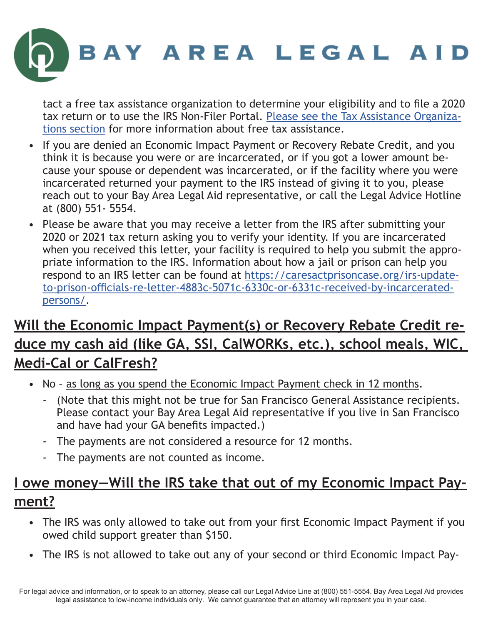

tact a free tax assistance organization to determine your eligibility and to file a 2020 tax return or to use the IRS Non-Filer Portal. [Please see the Tax Assistance Organiza](#page-6-0)[tions section](#page-6-0) for more information about free tax assistance.

- If you are denied an Economic Impact Payment or Recovery Rebate Credit, and you think it is because you were or are incarcerated, or if you got a lower amount because your spouse or dependent was incarcerated, or if the facility where you were incarcerated returned your payment to the IRS instead of giving it to you, please reach out to your Bay Area Legal Aid representative, or call the Legal Advice Hotline at (800) 551- 5554.
- Please be aware that you may receive a letter from the IRS after submitting your 2020 or 2021 tax return asking you to verify your identity. If you are incarcerated when you received this letter, your facility is required to help you submit the appropriate information to the IRS. Information about how a jail or prison can help you respond to an IRS letter can be found at [https://caresactprisoncase.org/irs-update](https://caresactprisoncase.org/irs-update-to-prison-officials-re-letter-4883c-5071c-6330c-or-6331c-received-by-incarcerated-persons/)[to-prison-officials-re-letter-4883c-5071c-6330c-or-6331c-received-by-incarcerated](https://caresactprisoncase.org/irs-update-to-prison-officials-re-letter-4883c-5071c-6330c-or-6331c-received-by-incarcerated-persons/)[persons/](https://caresactprisoncase.org/irs-update-to-prison-officials-re-letter-4883c-5071c-6330c-or-6331c-received-by-incarcerated-persons/).

## **Will the Economic Impact Payment(s) or Recovery Rebate Credit reduce my cash aid (like GA, SSI, CalWORKs, etc.), school meals, WIC, Medi-Cal or CalFresh?**

- No as long as you spend the Economic Impact Payment check in 12 months.
	- (Note that this might not be true for San Francisco General Assistance recipients. Please contact your Bay Area Legal Aid representative if you live in San Francisco and have had your GA benefits impacted.)
	- The payments are not considered a resource for 12 months.
	- The payments are not counted as income.

## **I owe money—Will the IRS take that out of my Economic Impact Payment?**

- The IRS was only allowed to take out from your first Economic Impact Payment if you owed child support greater than \$150.
- The IRS is not allowed to take out any of your second or third Economic Impact Pay-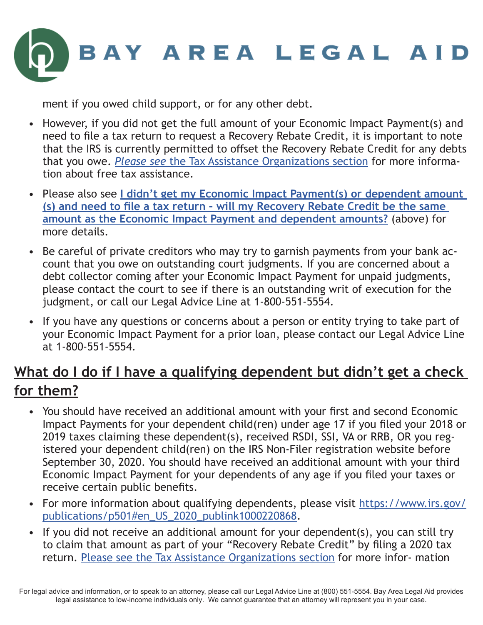

ment if you owed child support, or for any other debt.

- However, if you did not get the full amount of your Economic Impact Payment(s) and need to file a tax return to request a Recovery Rebate Credit, it is important to note that the IRS is currently permitted to offset the Recovery Rebate Credit for any debts that you owe. *Please see* [the Tax Assistance Organizations section](#page-6-0) for more information about free tax assistance.
- Please also see **[I didn't get my Economic Impact Payment\(s\) or dependent amount](#page-4-0)  [\(s\) and need to file a tax return – will my Recovery Rebate Credit be the same](#page-4-0)  [amount as the Economic Impact Payment and dependent amounts?](#page-4-0)** (above) for more details.
- Be careful of private creditors who may try to garnish payments from your bank account that you owe on outstanding court judgments. If you are concerned about a debt collector coming after your Economic Impact Payment for unpaid judgments, please contact the court to see if there is an outstanding writ of execution for the judgment, or call our Legal Advice Line at 1-800-551-5554.
- If you have any questions or concerns about a person or entity trying to take part of your Economic Impact Payment for a prior loan, please contact our Legal Advice Line at 1-800-551-5554.

## **What do I do if I have a qualifying dependent but didn't get a check for them?**

- You should have received an additional amount with your first and second Economic Impact Payments for your dependent child(ren) under age 17 if you filed your 2018 or 2019 taxes claiming these dependent(s), received RSDI, SSI, VA or RRB, OR you registered your dependent child(ren) on the IRS Non-Filer registration website before September 30, 2020. You should have received an additional amount with your third Economic Impact Payment for your dependents of any age if you filed your taxes or receive certain public benefits.
- For more information about qualifying dependents, please visit [https://www.irs.gov/](https://www.irs.gov/publications/p501#en_US_2020_publink1000220868) [publications/p501#en\\_US\\_2020\\_publink1000220868](https://www.irs.gov/publications/p501#en_US_2020_publink1000220868).
- If you did not receive an additional amount for your dependent(s), you can still try to claim that amount as part of your "Recovery Rebate Credit" by filing a 2020 tax return. [Please see the Tax Assistance Organizations section](#page-6-0) for more infor- mation

For legal advice and information, or to speak to an attorney, please call our Legal Advice Line at (800) 551-5554. Bay Area Legal Aid provides legal assistance to low-income individuals only. We cannot guarantee that an attorney will represent you in your case.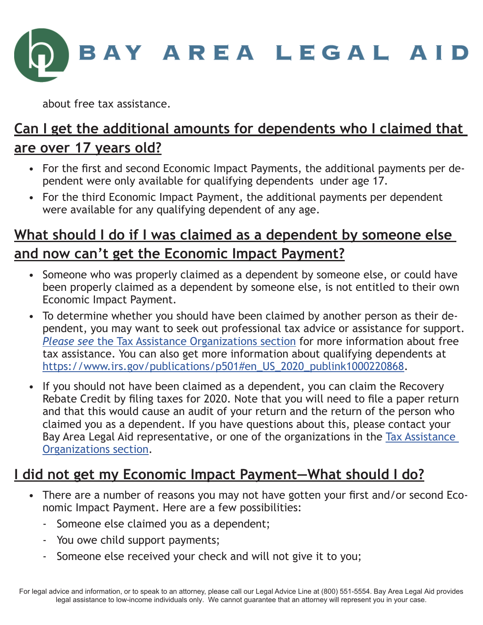

about free tax assistance.

## **Can I get the additional amounts for dependents who I claimed that are over 17 years old?**

- For the first and second Economic Impact Payments, the additional payments per dependent were only available for qualifying dependents under age 17.
- For the third Economic Impact Payment, the additional payments per dependent were available for any qualifying dependent of any age.

#### **What should I do if I was claimed as a dependent by someone else and now can't get the Economic Impact Payment?**

- Someone who was properly claimed as a dependent by someone else, or could have been properly claimed as a dependent by someone else, is not entitled to their own Economic Impact Payment.
- To determine whether you should have been claimed by another person as their dependent, you may want to seek out professional tax advice or assistance for support. *Please see* [the Tax Assistance Organizations section](#page-6-0) for more information about free tax assistance. You can also get more information about qualifying dependents at [https://www.irs.gov/publications/p501#en\\_US\\_2020\\_publink1000220868](https://www.irs.gov/publications/p501#en_US_2020_publink1000220868).
- If you should not have been claimed as a dependent, you can claim the Recovery Rebate Credit by filing taxes for 2020. Note that you will need to file a paper return and that this would cause an audit of your return and the return of the person who claimed you as a dependent. If you have questions about this, please contact your Bay Area Legal Aid representative, or one of the organizations in the [Tax Assistance](#page-6-0)  [Organizations section](#page-6-0).

#### **I did not get my Economic Impact Payment—What should I do?**

- There are a number of reasons you may not have gotten your first and/or second Economic Impact Payment. Here are a few possibilities:
	- Someone else claimed you as a dependent;
	- You owe child support payments;
	- Someone else received your check and will not give it to you;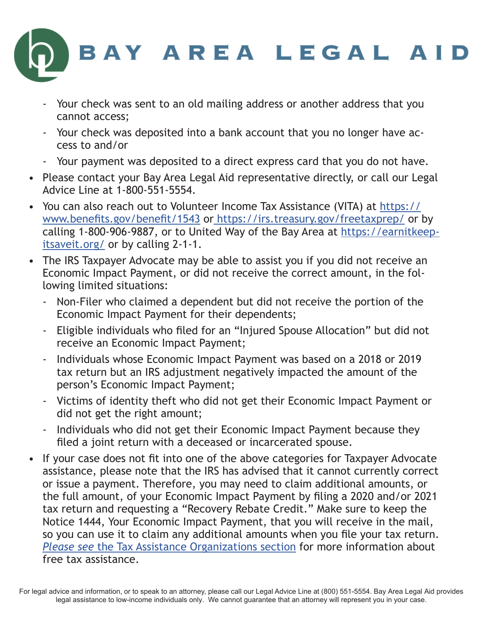

- Your check was sent to an old mailing address or another address that you cannot access;
- Your check was deposited into a bank account that you no longer have access to and/or
- Your payment was deposited to a direct express card that you do not have.
- Please contact your Bay Area Legal Aid representative directly, or call our Legal Advice Line at 1-800-551-5554.
- You can also reach out to Volunteer Income Tax Assistance (VITA) at [https://](https://www.benefits.gov/benefit/1543) [www.benefits.gov/benefit/1543](https://www.benefits.gov/benefit/1543) o[r https://irs.treasury.gov/freetaxprep/]( https://irs.treasury.gov/freetaxprep/) or by calling 1-800-906-9887, or to United Way of the Bay Area at [https://earnitkeep](https://earnitkeepitsaveit.org/)[itsaveit.org/](https://earnitkeepitsaveit.org/) or by calling 2-1-1.
- The IRS Taxpayer Advocate may be able to assist you if you did not receive an Economic Impact Payment, or did not receive the correct amount, in the following limited situations:
	- Non-Filer who claimed a dependent but did not receive the portion of the Economic Impact Payment for their dependents;
	- Eligible individuals who filed for an "Injured Spouse Allocation" but did not receive an Economic Impact Payment;
	- Individuals whose Economic Impact Payment was based on a 2018 or 2019 tax return but an IRS adjustment negatively impacted the amount of the person's Economic Impact Payment;
	- Victims of identity theft who did not get their Economic Impact Payment or did not get the right amount;
	- Individuals who did not get their Economic Impact Payment because they filed a joint return with a deceased or incarcerated spouse.
- If your case does not fit into one of the above categories for Taxpayer Advocate assistance, please note that the IRS has advised that it cannot currently correct or issue a payment. Therefore, you may need to claim additional amounts, or the full amount, of your Economic Impact Payment by filing a 2020 and/or 2021 tax return and requesting a "Recovery Rebate Credit." Make sure to keep the Notice 1444, Your Economic Impact Payment, that you will receive in the mail, so you can use it to claim any additional amounts when you file your tax return. *Please see* [the Tax Assistance Organizations section](#page-6-0) for more information about free tax assistance.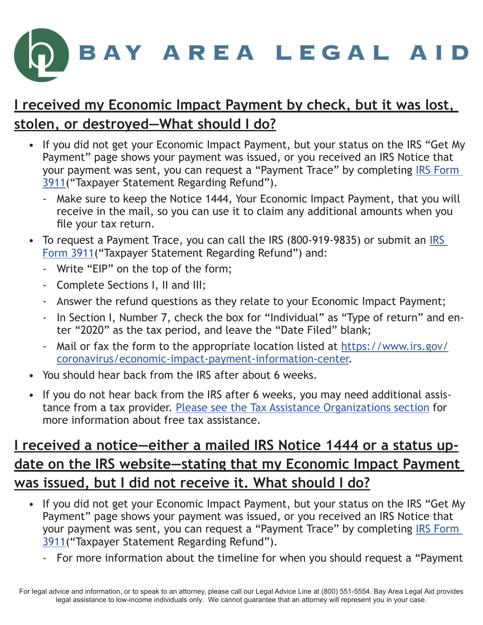

#### **I received my Economic Impact Payment by check, but it was lost, stolen, or destroyed—What should I do?**

- If you did not get your Economic Impact Payment, but your status on the IRS "Get My Payment" page shows your payment was issued, or you received an IRS Notice that your payment was sent, you can request a "Payment Trace" by completing [IRS Form](https://www.irs.gov/pub/irs-pdf/f3911.pdf)  [3911](https://www.irs.gov/pub/irs-pdf/f3911.pdf)("Taxpayer Statement Regarding Refund").
	- Make sure to keep the Notice 1444, Your Economic Impact Payment, that you will receive in the mail, so you can use it to claim any additional amounts when you file your tax return.
- To request a Payment Trace, you can call the IRS (800-919-9835) or submit an [IRS](https://www.irs.gov/pub/irs-pdf/f3911.pdf)  [Form 3911\(](https://www.irs.gov/pub/irs-pdf/f3911.pdf)"Taxpayer Statement Regarding Refund") and:
	- Write "EIP" on the top of the form;
	- Complete Sections I, II and III;
	- Answer the refund questions as they relate to your Economic Impact Payment;
	- In Section I, Number 7, check the box for "Individual" as "Type of return" and enter "2020" as the tax period, and leave the "Date Filed" blank;
	- Mail or fax the form to the appropriate location listed at [https://www.irs.gov/](https://www.irs.gov/coronavirus/economic-impact-payment-information-center) [coronavirus/economic-impact-payment-information-center](https://www.irs.gov/coronavirus/economic-impact-payment-information-center).
- You should hear back from the IRS after about 6 weeks.
- If you do not hear back from the IRS after 6 weeks, you may need additional assistance from a tax provider. [Please see the Tax Assistance Organizations section](#page-6-0) for more information about free tax assistance.

## **I received a notice—either a mailed IRS Notice 1444 or a status update on the IRS website—stating that my Economic Impact Payment was issued, but I did not receive it. What should I do?**

- If you did not get your Economic Impact Payment, but your status on the IRS "Get My Payment" page shows your payment was issued, or you received an IRS Notice that your payment was sent, you can request a "Payment Trace" by completing [IRS Form](https://www.irs.gov/pub/irs-pdf/f3911.pdf)  [3911](https://www.irs.gov/pub/irs-pdf/f3911.pdf)("Taxpayer Statement Regarding Refund").
	- For more information about the timeline for when you should request a "Payment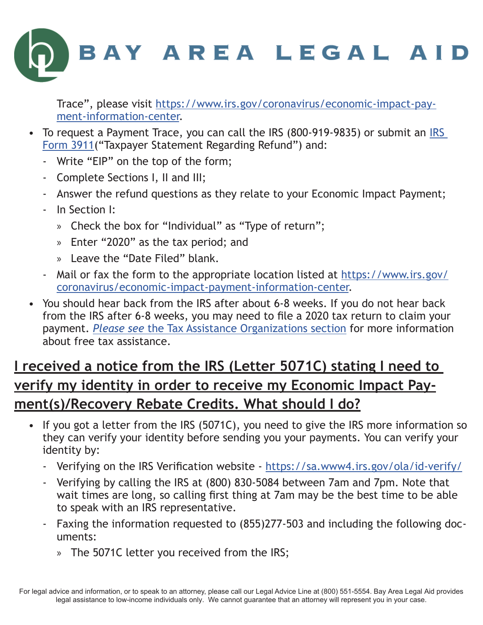

Trace", please visit [https://www.irs.gov/coronavirus/economic-impact-pay](https://www.irs.gov/coronavirus/economic-impact-payment-information-center)[ment-information-center](https://www.irs.gov/coronavirus/economic-impact-payment-information-center).

- To request a Payment Trace, you can call the [IRS](https://www.irs.gov/pub/irs-pdf/f3911.pdf) (800-919-9835) or submit an IRS [Form 3911\(](https://www.irs.gov/pub/irs-pdf/f3911.pdf)"Taxpayer Statement Regarding Refund") and:
	- Write "EIP" on the top of the form;
	- Complete Sections I, II and III;
	- Answer the refund questions as they relate to your Economic Impact Payment;
	- In Section I:
		- » Check the box for "Individual" as "Type of return";
		- » Enter "2020" as the tax period; and
		- » Leave the "Date Filed" blank.
	- Mail or fax the form to the appropriate location listed at [https://www.irs.gov/](https://www.irs.gov/coronavirus/economic-impact-payment-information-center) [coronavirus/economic-impact-payment-information-center](https://www.irs.gov/coronavirus/economic-impact-payment-information-center).
- You should hear back from the IRS after about 6-8 weeks. If you do not hear back from the IRS after 6-8 weeks, you may need to file a 2020 tax return to claim your payment. *Please see* [the Tax Assistance Organizations section](#page-6-0) for more information about free tax assistance.

### **I received a notice from the IRS (Letter 5071C) stating I need to verify my identity in order to receive my Economic Impact Payment(s)/Recovery Rebate Credits. What should I do?**

- If you got a letter from the IRS (5071C), you need to give the IRS more information so they can verify your identity before sending you your payments. You can verify your identity by:
	- Verifying on the IRS Verification website <https://sa.www4.irs.gov/ola/id-verify/>
	- Verifying by calling the IRS at (800) 830-5084 between 7am and 7pm. Note that wait times are long, so calling first thing at 7am may be the best time to be able to speak with an IRS representative.
	- Faxing the information requested to (855)277-503 and including the following documents:
		- » The 5071C letter you received from the IRS;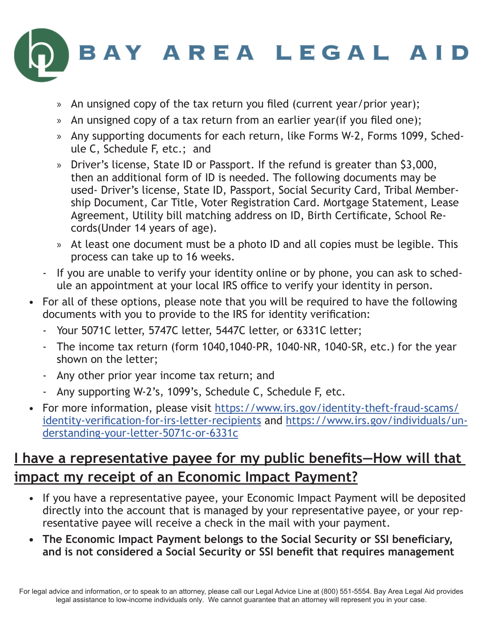

- An unsigned copy of the tax return you filed (current year/prior year);
- » An unsigned copy of a tax return from an earlier year(if you filed one);
- » Any supporting documents for each return, like Forms W-2, Forms 1099, Schedule C, Schedule F, etc.; and
- » Driver's license, State ID or Passport. If the refund is greater than \$3,000, then an additional form of ID is needed. The following documents may be used- Driver's license, State ID, Passport, Social Security Card, Tribal Membership Document, Car Title, Voter Registration Card. Mortgage Statement, Lease Agreement, Utility bill matching address on ID, Birth Certificate, School Records(Under 14 years of age).
- » At least one document must be a photo ID and all copies must be legible. This process can take up to 16 weeks.
- If you are unable to verify your identity online or by phone, you can ask to schedule an appointment at your local IRS office to verify your identity in person.
- For all of these options, please note that you will be required to have the following documents with you to provide to the IRS for identity verification:
	- Your 5071C letter, 5747C letter, 5447C letter, or 6331C letter;
	- The income tax return (form 1040,1040-PR, 1040-NR, 1040-SR, etc.) for the year shown on the letter;
	- Any other prior year income tax return; and
	- Any supporting W-2's, 1099's, Schedule C, Schedule F, etc.
- For more information, please visit [https://www.irs.gov/identity-theft-fraud-scams/](https://www.irs.gov/identity-theft-fraud-scams/identity-verification-for-irs-letter-recipients) [identity-verification-for-irs-letter-recipients](https://www.irs.gov/identity-theft-fraud-scams/identity-verification-for-irs-letter-recipients) and [https://www.irs.gov/individuals/un](https://www.irs.gov/individuals/understanding-your-letter-5071c-or-6331c)[derstanding-your-letter-5071c-or-6331c](https://www.irs.gov/individuals/understanding-your-letter-5071c-or-6331c)

#### **I have a representative payee for my public benefits—How will that impact my receipt of an Economic Impact Payment?**

- If you have a representative payee, your Economic Impact Payment will be deposited directly into the account that is managed by your representative payee, or your representative payee will receive a check in the mail with your payment.
- **• The Economic Impact Payment belongs to the Social Security or SSI beneficiary, and is not considered a Social Security or SSI benefit that requires management**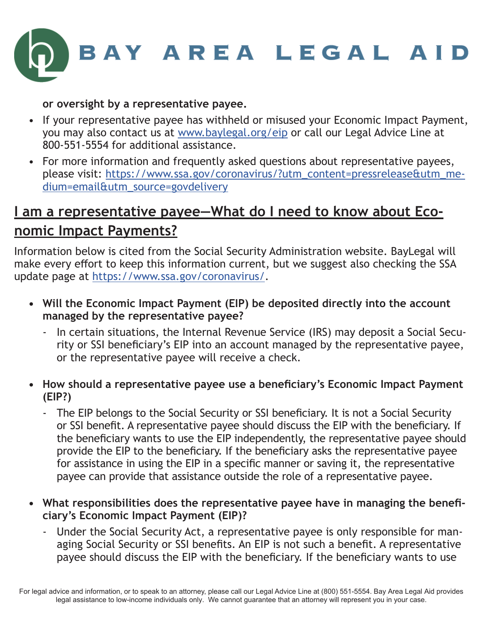

#### **or oversight by a representative payee.**

- If your representative payee has withheld or misused your Economic Impact Payment, you may also contact us at [www.baylegal.org/eip](http://www.baylegal.org/eip) or call our Legal Advice Line at 800-551-5554 for additional assistance.
- For more information and frequently asked questions about representative payees, please visit: [https://www.ssa.gov/coronavirus/?utm\\_content=pressrelease&utm\\_me](https://www.ssa.gov/coronavirus/?utm_content=pressrelease&utm_medium=email&utm_source=govdelivery )[dium=email&utm\\_source=govdelivery](https://www.ssa.gov/coronavirus/?utm_content=pressrelease&utm_medium=email&utm_source=govdelivery )

#### **I am a representative payee—What do I need to know about Economic Impact Payments?**

Information below is cited from the Social Security Administration website. BayLegal will make every effort to keep this information current, but we suggest also checking the SSA update page at<https://www.ssa.gov/coronavirus/>.

- **• Will the Economic Impact Payment (EIP) be deposited directly into the account managed by the representative payee?**
	- In certain situations, the Internal Revenue Service (IRS) may deposit a Social Security or SSI beneficiary's EIP into an account managed by the representative payee, or the representative payee will receive a check.
- **• How should a representative payee use a beneficiary's Economic Impact Payment (EIP?)**
	- The EIP belongs to the Social Security or SSI beneficiary. It is not a Social Security or SSI benefit. A representative payee should discuss the EIP with the beneficiary. If the beneficiary wants to use the EIP independently, the representative payee should provide the EIP to the beneficiary. If the beneficiary asks the representative payee for assistance in using the EIP in a specific manner or saving it, the representative payee can provide that assistance outside the role of a representative payee.
- **• What responsibilities does the representative payee have in managing the beneficiary's Economic Impact Payment (EIP)?**
	- Under the Social Security Act, a representative payee is only responsible for managing Social Security or SSI benefits. An EIP is not such a benefit. A representative payee should discuss the EIP with the beneficiary. If the beneficiary wants to use